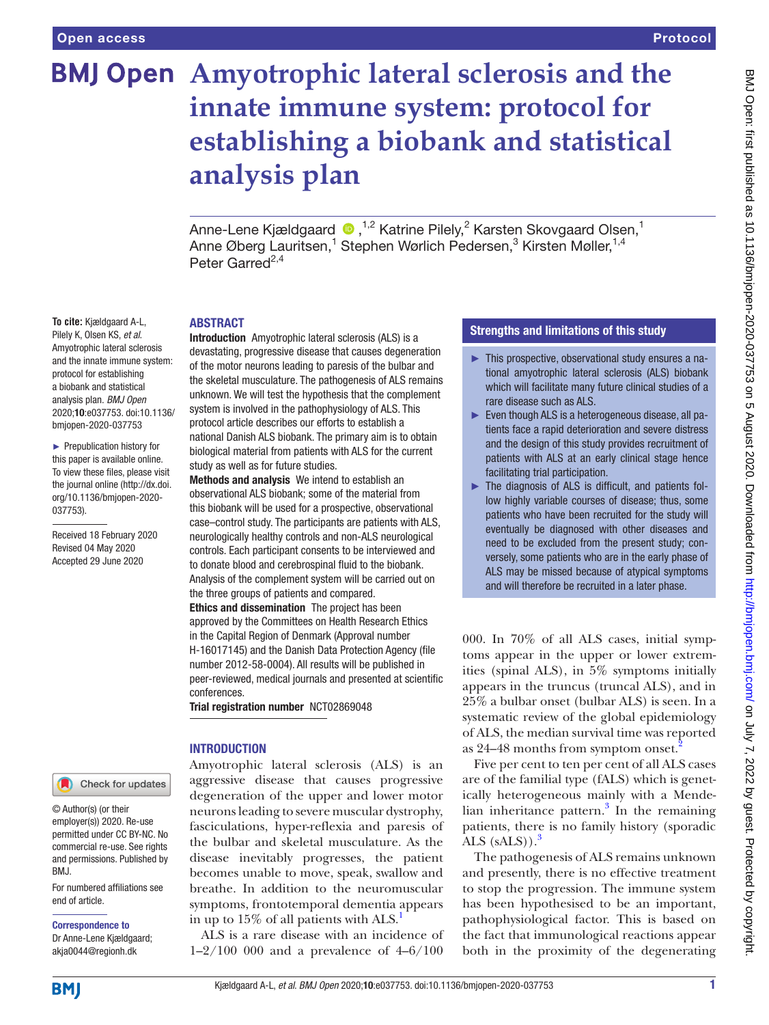**To cite:** Kjældgaard A-L, Pilely K, Olsen KS, *et al*. Amyotrophic lateral sclerosis and the innate immune system: protocol for establishing a biobank and statistical analysis plan. *BMJ Open* 2020;10:e037753. doi:10.1136/ bmjopen-2020-037753 ► Prepublication history for this paper is available online. To view these files, please visit the journal online (http://dx.doi. org/10.1136/bmjopen-2020-

037753).

Received 18 February 2020 Revised 04 May 2020 Accepted 29 June 2020

# **BMJ Open** Amyotrophic lateral sclerosis and the **innate immune system: protocol for establishing a biobank and statistical analysis plan**

Anne-LeneKjældgaard  $\bullet$  ,<sup>1,2</sup> Katrine Pilely,<sup>2</sup> Karsten Skovgaard Olsen,<sup>1</sup> Anne Øberg Lauritsen,<sup>1</sup> Stephen Wørlich Pedersen,<sup>3</sup> Kirsten Møller,<sup>1,4</sup> Peter Garred<sup>2,4</sup>

#### ABSTRACT

Introduction Amyotrophic lateral sclerosis (ALS) is a devastating, progressive disease that causes degeneration of the motor neurons leading to paresis of the bulbar and the skeletal musculature. The pathogenesis of ALS remains unknown. We will test the hypothesis that the complement system is involved in the pathophysiology of ALS. This protocol article describes our efforts to establish a national Danish ALS biobank. The primary aim is to obtain biological material from patients with ALS for the current study as well as for future studies.

Methods and analysis We intend to establish an observational ALS biobank; some of the material from this biobank will be used for a prospective, observational case–control study. The participants are patients with ALS, neurologically healthy controls and non-ALS neurological controls. Each participant consents to be interviewed and to donate blood and cerebrospinal fluid to the biobank. Analysis of the complement system will be carried out on the three groups of patients and compared.

Ethics and dissemination The project has been approved by the Committees on Health Research Ethics in the Capital Region of Denmark (Approval number H-16017145) and the Danish Data Protection Agency (file number 2012-58-0004). All results will be published in peer-reviewed, medical journals and presented at scientific conferences.

Trial registration number <NCT02869048>

#### **INTRODUCTION**

Amyotrophic lateral sclerosis (ALS) is an aggressive disease that causes progressive degeneration of the upper and lower motor neurons leading to severe muscular dystrophy, fasciculations, hyper-reflexia and paresis of the bulbar and skeletal musculature. As the disease inevitably progresses, the patient becomes unable to move, speak, swallow and breathe. In addition to the neuromuscular symptoms, frontotemporal dementia appears in up to  $15\%$  $15\%$  of all patients with ALS.<sup>1</sup>

ALS is a rare disease with an incidence of 1–2/100 000 and a prevalence of 4–6/100

#### Strengths and limitations of this study

- ► This prospective, observational study ensures a national amyotrophic lateral sclerosis (ALS) biobank which will facilitate many future clinical studies of a rare disease such as ALS.
- ► Even though ALS is a heterogeneous disease, all patients face a rapid deterioration and severe distress and the design of this study provides recruitment of patients with ALS at an early clinical stage hence facilitating trial participation.
- ► The diagnosis of ALS is difficult, and patients follow highly variable courses of disease; thus, some patients who have been recruited for the study will eventually be diagnosed with other diseases and need to be excluded from the present study; conversely, some patients who are in the early phase of ALS may be missed because of atypical symptoms and will therefore be recruited in a later phase.

000. In 70% of all ALS cases, initial symptoms appear in the upper or lower extremities (spinal ALS), in 5% symptoms initially appears in the truncus (truncal ALS), and in 25% a bulbar onset (bulbar ALS) is seen. In a systematic review of the global epidemiology of ALS, the median survival time was reported as [2](#page-7-1)4-48 months from symptom onset.

Five per cent to ten per cent of all ALS cases are of the familial type (fALS) which is genetically heterogeneous mainly with a Mendelian inheritance pattern. $3$  In the remaining patients, there is no family history (sporadic ALS  $(sALS)$ ).<sup>[3](#page-7-2)</sup>

The pathogenesis of ALS remains unknown and presently, there is no effective treatment to stop the progression. The immune system has been hypothesised to be an important, pathophysiological factor. This is based on the fact that immunological reactions appear both in the proximity of the degenerating

Dr Anne-Lene Kjældgaard; akja0044@regionh.dk

**BMI** 

end of article.

BMJ.

Correspondence to

© Author(s) (or their employer(s)) 2020. Re-use permitted under CC BY-NC. No commercial re-use. See rights and permissions. Published by

For numbered affiliations see

Check for updates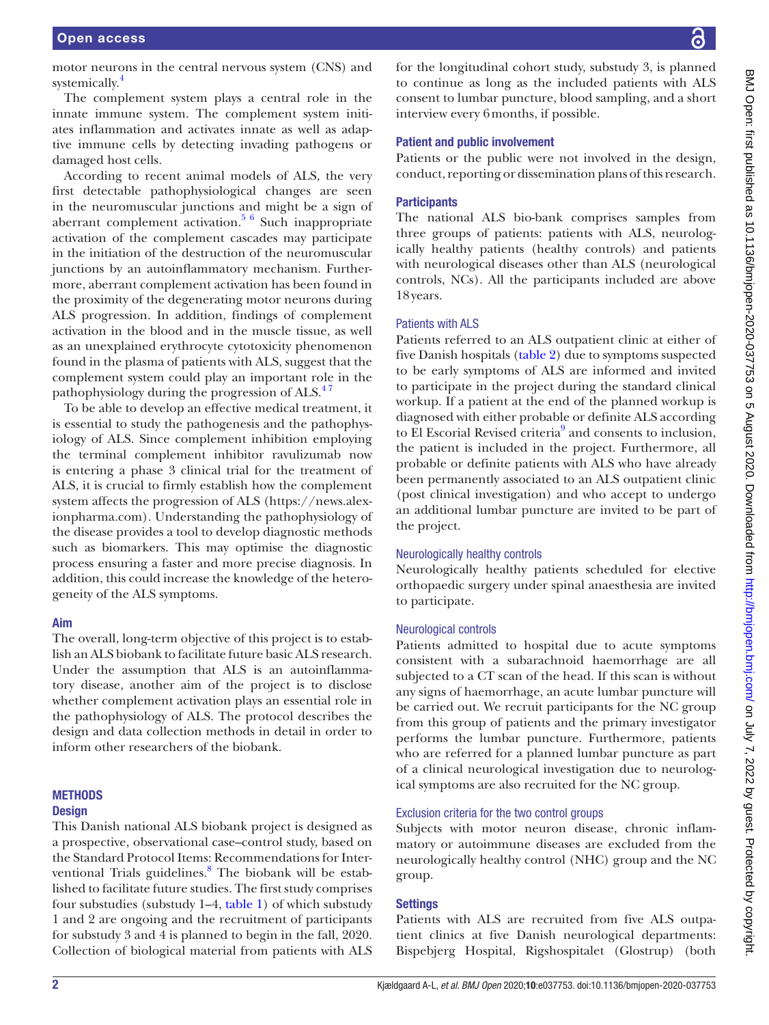The complement system plays a central role in the innate immune system. The complement system initiates inflammation and activates innate as well as adaptive immune cells by detecting invading pathogens or damaged host cells.

According to recent animal models of ALS, the very first detectable pathophysiological changes are seen in the neuromuscular junctions and might be a sign of aberrant complement activation.<sup>[5 6](#page-7-4)</sup> Such inappropriate activation of the complement cascades may participate in the initiation of the destruction of the neuromuscular junctions by an autoinflammatory mechanism. Furthermore, aberrant complement activation has been found in the proximity of the degenerating motor neurons during ALS progression. In addition, findings of complement activation in the blood and in the muscle tissue, as well as an unexplained erythrocyte cytotoxicity phenomenon found in the plasma of patients with ALS, suggest that the complement system could play an important role in the pathophysiology during the progression of ALS.<sup>47</sup>

To be able to develop an effective medical treatment, it is essential to study the pathogenesis and the pathophysiology of ALS. Since complement inhibition employing the terminal complement inhibitor ravulizumab now is entering a phase 3 clinical trial for the treatment of ALS, it is crucial to firmly establish how the complement system affects the progression of ALS ([https://news.alex](https://news.alexionpharma.com)[ionpharma.com](https://news.alexionpharma.com)). Understanding the pathophysiology of the disease provides a tool to develop diagnostic methods such as biomarkers. This may optimise the diagnostic process ensuring a faster and more precise diagnosis. In addition, this could increase the knowledge of the heterogeneity of the ALS symptoms.

#### Aim

The overall, long-term objective of this project is to establish an ALS biobank to facilitate future basic ALS research. Under the assumption that ALS is an autoinflammatory disease, another aim of the project is to disclose whether complement activation plays an essential role in the pathophysiology of ALS. The protocol describes the design and data collection methods in detail in order to inform other researchers of the biobank.

# **METHODS**

# **Design**

This Danish national ALS biobank project is designed as a prospective, observational case–control study, based on the Standard Protocol Items: Recommendations for Interventional Trials guidelines.<sup>8</sup> The biobank will be established to facilitate future studies. The first study comprises four substudies (substudy 1–4, [table](#page-2-0) 1) of which substudy 1 and 2 are ongoing and the recruitment of participants for substudy 3 and 4 is planned to begin in the fall, 2020. Collection of biological material from patients with ALS for the longitudinal cohort study, substudy 3, is planned to continue as long as the included patients with ALS consent to lumbar puncture, blood sampling, and a short interview every 6months, if possible.

# Patient and public involvement

Patients or the public were not involved in the design, conduct, reporting or dissemination plans of this research.

# **Participants**

The national ALS bio-bank comprises samples from three groups of patients: patients with ALS, neurologically healthy patients (healthy controls) and patients with neurological diseases other than ALS (neurological controls, NCs). All the participants included are above 18years.

# Patients with ALS

Patients referred to an ALS outpatient clinic at either of five Danish hospitals ([table](#page-3-0) 2) due to symptoms suspected to be early symptoms of ALS are informed and invited to participate in the project during the standard clinical workup. If a patient at the end of the planned workup is diagnosed with either probable or definite ALS according to El Escorial Revised criteria<sup>[9](#page-7-6)</sup> and consents to inclusion, the patient is included in the project. Furthermore, all probable or definite patients with ALS who have already been permanently associated to an ALS outpatient clinic (post clinical investigation) and who accept to undergo an additional lumbar puncture are invited to be part of the project.

# Neurologically healthy controls

Neurologically healthy patients scheduled for elective orthopaedic surgery under spinal anaesthesia are invited to participate.

# Neurological controls

Patients admitted to hospital due to acute symptoms consistent with a subarachnoid haemorrhage are all subjected to a CT scan of the head. If this scan is without any signs of haemorrhage, an acute lumbar puncture will be carried out. We recruit participants for the NC group from this group of patients and the primary investigator performs the lumbar puncture. Furthermore, patients who are referred for a planned lumbar puncture as part of a clinical neurological investigation due to neurological symptoms are also recruited for the NC group.

# Exclusion criteria for the two control groups

Subjects with motor neuron disease, chronic inflammatory or autoimmune diseases are excluded from the neurologically healthy control (NHC) group and the NC group.

# **Settings**

Patients with ALS are recruited from five ALS outpatient clinics at five Danish neurological departments: Bispebjerg Hospital, Rigshospitalet (Glostrup) (both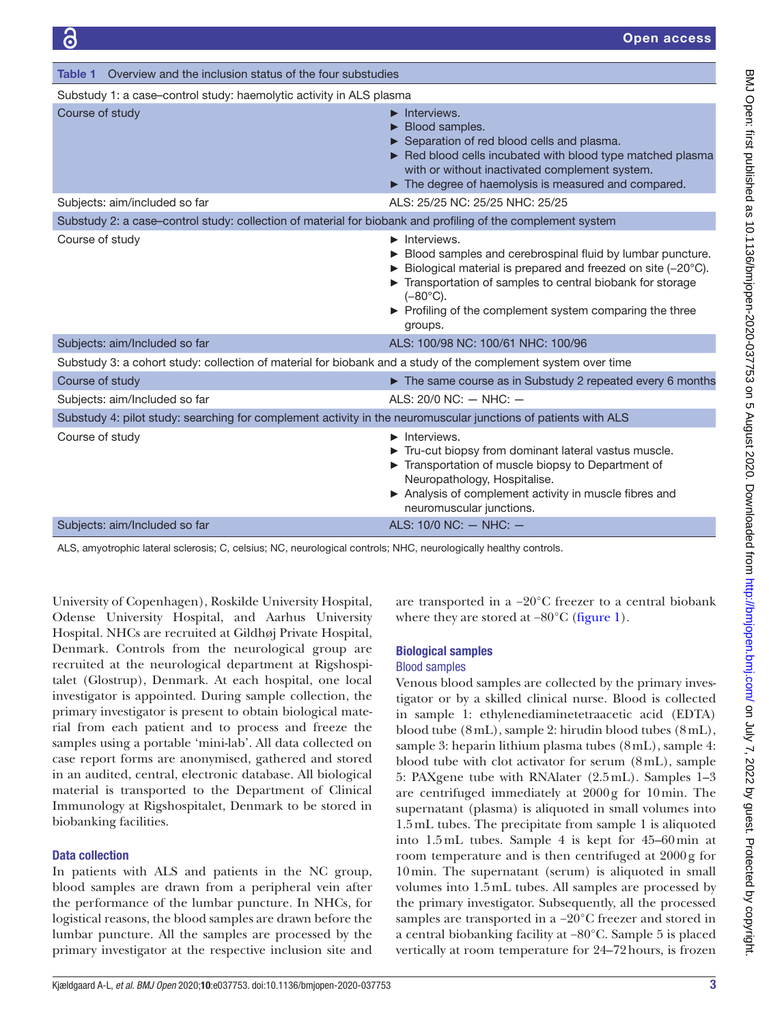<span id="page-2-0"></span>

| <b>Table 1</b> Overview and the inclusion status of the four substudies                                        |                                                                                                                                                                                                                                                                                                                                                       |  |
|----------------------------------------------------------------------------------------------------------------|-------------------------------------------------------------------------------------------------------------------------------------------------------------------------------------------------------------------------------------------------------------------------------------------------------------------------------------------------------|--|
| Substudy 1: a case-control study: haemolytic activity in ALS plasma                                            |                                                                                                                                                                                                                                                                                                                                                       |  |
| Course of study                                                                                                | $\blacktriangleright$ Interviews.<br>Blood samples.<br>Separation of red blood cells and plasma.<br>Red blood cells incubated with blood type matched plasma<br>with or without inactivated complement system.<br>The degree of haemolysis is measured and compared.                                                                                  |  |
| Subjects: aim/included so far                                                                                  | ALS: 25/25 NC: 25/25 NHC: 25/25                                                                                                                                                                                                                                                                                                                       |  |
| Substudy 2: a case-control study: collection of material for biobank and profiling of the complement system    |                                                                                                                                                                                                                                                                                                                                                       |  |
| Course of study                                                                                                | $\blacktriangleright$ Interviews.<br>▶ Blood samples and cerebrospinal fluid by lumbar puncture.<br>$\triangleright$ Biological material is prepared and freezed on site (-20 $^{\circ}$ C).<br>Transportation of samples to central biobank for storage<br>$(-80^{\circ}C)$ .<br>▶ Profiling of the complement system comparing the three<br>groups. |  |
| Subjects: aim/Included so far                                                                                  | ALS: 100/98 NC: 100/61 NHC: 100/96                                                                                                                                                                                                                                                                                                                    |  |
| Substudy 3: a cohort study: collection of material for biobank and a study of the complement system over time  |                                                                                                                                                                                                                                                                                                                                                       |  |
| Course of study                                                                                                | The same course as in Substudy 2 repeated every 6 months                                                                                                                                                                                                                                                                                              |  |
| Subjects: aim/Included so far                                                                                  | ALS: $20/0$ NC: $-$ NHC: $-$                                                                                                                                                                                                                                                                                                                          |  |
| Substudy 4: pilot study: searching for complement activity in the neuromuscular junctions of patients with ALS |                                                                                                                                                                                                                                                                                                                                                       |  |
| Course of study                                                                                                | $\blacktriangleright$ Interviews.<br>Tru-cut biopsy from dominant lateral vastus muscle.<br>Transportation of muscle biopsy to Department of<br>Neuropathology, Hospitalise.<br>Analysis of complement activity in muscle fibres and<br>neuromuscular junctions.                                                                                      |  |
| Subjects: aim/Included so far                                                                                  | ALS: 10/0 NC: - NHC: -                                                                                                                                                                                                                                                                                                                                |  |
|                                                                                                                |                                                                                                                                                                                                                                                                                                                                                       |  |

ALS, amyotrophic lateral sclerosis; C, celsius; NC, neurological controls; NHC, neurologically healthy controls.

University of Copenhagen), Roskilde University Hospital, Odense University Hospital, and Aarhus University Hospital. NHCs are recruited at Gildhøj Private Hospital, Denmark. Controls from the neurological group are recruited at the neurological department at Rigshospitalet (Glostrup), Denmark. At each hospital, one local investigator is appointed. During sample collection, the primary investigator is present to obtain biological material from each patient and to process and freeze the samples using a portable 'mini-lab'. All data collected on case report forms are anonymised, gathered and stored in an audited, central, electronic database. All biological material is transported to the Department of Clinical Immunology at Rigshospitalet, Denmark to be stored in biobanking facilities.

# Data collection

In patients with ALS and patients in the NC group, blood samples are drawn from a peripheral vein after the performance of the lumbar puncture. In NHCs, for logistical reasons, the blood samples are drawn before the lumbar puncture. All the samples are processed by the primary investigator at the respective inclusion site and

are transported in a −20°C freezer to a central biobank where they are stored at −80°C [\(figure](#page-3-1) 1).

#### Biological samples

#### Blood samples

Venous blood samples are collected by the primary investigator or by a skilled clinical nurse. Blood is collected in sample 1: ethylenediaminetetraacetic acid (EDTA) blood tube (8mL), sample 2: hirudin blood tubes (8mL), sample 3: heparin lithium plasma tubes (8mL), sample 4: blood tube with clot activator for serum (8mL), sample 5: PAXgene tube with RNAlater (2.5mL). Samples 1–3 are centrifuged immediately at 2000g for 10min. The supernatant (plasma) is aliquoted in small volumes into 1.5mL tubes. The precipitate from sample 1 is aliquoted into 1.5mL tubes. Sample 4 is kept for 45–60min at room temperature and is then centrifuged at 2000g for 10min. The supernatant (serum) is aliquoted in small volumes into 1.5mL tubes. All samples are processed by the primary investigator. Subsequently, all the processed samples are transported in a −20°C freezer and stored in a central biobanking facility at −80°C. Sample 5 is placed vertically at room temperature for 24–72hours, is frozen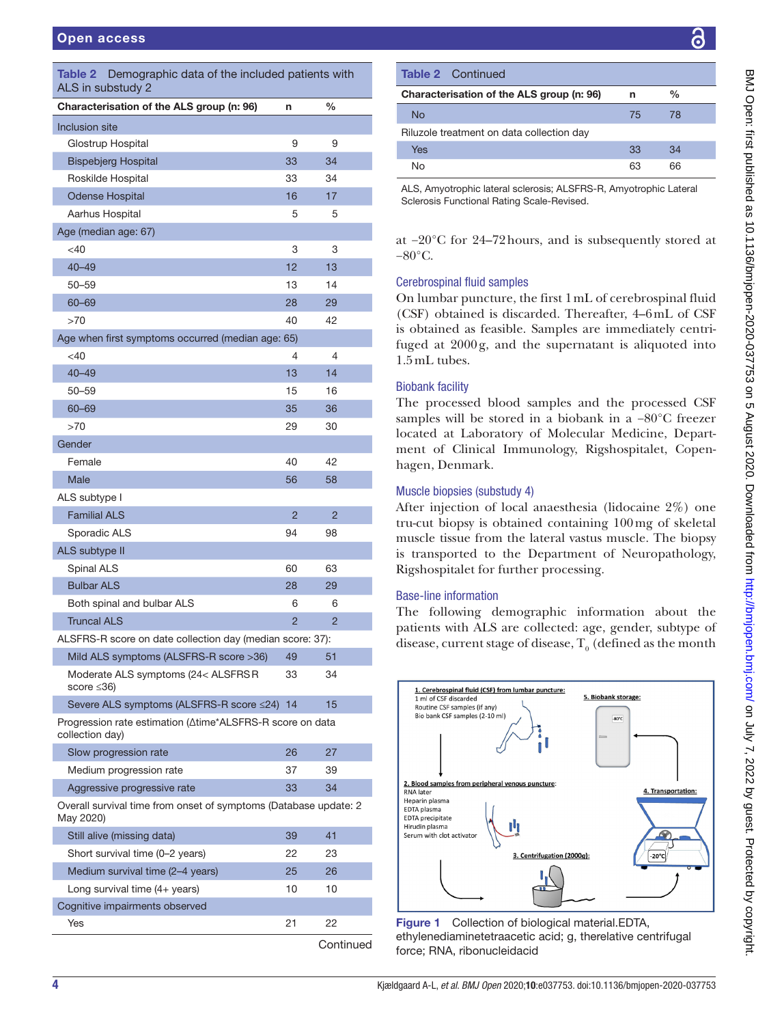<span id="page-3-0"></span>

| Table 2<br>Demographic data of the included patients with<br>ALS in substudy 2 |                |                |  |  |
|--------------------------------------------------------------------------------|----------------|----------------|--|--|
| Characterisation of the ALS group (n: 96)                                      | n              | $\frac{0}{0}$  |  |  |
| <b>Inclusion site</b>                                                          |                |                |  |  |
| Glostrup Hospital                                                              | 9              | 9              |  |  |
| <b>Bispebjerg Hospital</b>                                                     | 33             | 34             |  |  |
| Roskilde Hospital                                                              | 33             | 34             |  |  |
| <b>Odense Hospital</b>                                                         | 16             | 17             |  |  |
| Aarhus Hospital                                                                | 5              | 5              |  |  |
| Age (median age: 67)                                                           |                |                |  |  |
| $<$ 40                                                                         | 3              | 3              |  |  |
| $40 - 49$                                                                      | 12             | 13             |  |  |
| 50–59                                                                          | 13             | 14             |  |  |
| 60-69                                                                          | 28             | 29             |  |  |
| >70                                                                            | 40             | 42             |  |  |
| Age when first symptoms occurred (median age: 65)                              |                |                |  |  |
| <40                                                                            | 4              | 4              |  |  |
| 40-49                                                                          | 13             | 14             |  |  |
| $50 - 59$                                                                      | 15             | 16             |  |  |
| 60-69                                                                          | 35             | 36             |  |  |
| >70                                                                            | 29             | 30             |  |  |
| Gender                                                                         |                |                |  |  |
| Female                                                                         | 40             | 42             |  |  |
| Male                                                                           | 56             | 58             |  |  |
| ALS subtype I                                                                  |                |                |  |  |
| <b>Familial ALS</b>                                                            | $\overline{2}$ | $\overline{2}$ |  |  |
| Sporadic ALS                                                                   | 94             | 98             |  |  |
| ALS subtype II                                                                 |                |                |  |  |
| Spinal ALS                                                                     | 60             | 63             |  |  |
| <b>Bulbar ALS</b>                                                              | 28             | 29             |  |  |
| Both spinal and bulbar ALS                                                     | 6              | 6              |  |  |
| <b>Truncal ALS</b>                                                             | $\overline{2}$ | 2              |  |  |
| ALSFRS-R score on date collection day (median score: 37):                      |                |                |  |  |
| Mild ALS symptoms (ALSFRS-R score >36)                                         | 49             | 51             |  |  |
| Moderate ALS symptoms (24< ALSFRS R<br>score ≤36)                              | 33             | 34             |  |  |
| Severe ALS symptoms (ALSFRS-R score ≤24) 14                                    |                | 15             |  |  |
| Progression rate estimation (∆time*ALSFRS-R score on data<br>collection day)   |                |                |  |  |
| Slow progression rate                                                          | 26             | 27             |  |  |
| Medium progression rate                                                        | 37             | 39             |  |  |
| Aggressive progressive rate                                                    | 33             | 34             |  |  |
| Overall survival time from onset of symptoms (Database update: 2<br>May 2020)  |                |                |  |  |
| Still alive (missing data)                                                     | 39             | 41             |  |  |
| Short survival time (0–2 years)                                                | 22             | 23             |  |  |
| Medium survival time (2–4 years)                                               | 25             | 26             |  |  |
| Long survival time (4+ years)                                                  | 10             | 10             |  |  |
| Cognitive impairments observed                                                 |                |                |  |  |
| Yes                                                                            | 21             | 22             |  |  |
|                                                                                |                | Continuer      |  |  |

Continued

| <b>Table 2 Continued</b>                  |    |      |
|-------------------------------------------|----|------|
| Characterisation of the ALS group (n: 96) | n  | $\%$ |
| <b>No</b>                                 | 75 | 78   |
| Riluzole treatment on data collection day |    |      |
| <b>Yes</b>                                | 33 | 34   |
| No                                        | 63 | 66   |
|                                           |    | _    |

ALS, Amyotrophic lateral sclerosis; ALSFRS-R, Amyotrophic Lateral Sclerosis Functional Rating Scale-Revised.

at −20°C for 24–72hours, and is subsequently stored at −80°C.

# Cerebrospinal fluid samples

On lumbar puncture, the first 1mL of cerebrospinal fluid (CSF) obtained is discarded. Thereafter, 4–6mL of CSF is obtained as feasible. Samples are immediately centrifuged at 2000g, and the supernatant is aliquoted into 1.5mL tubes.

# Biobank facility

The processed blood samples and the processed CSF samples will be stored in a biobank in a −80°C freezer located at Laboratory of Molecular Medicine, Department of Clinical Immunology, Rigshospitalet, Copenhagen, Denmark.

# Muscle biopsies (substudy 4)

After injection of local anaesthesia (lidocaine 2%) one tru-cut biopsy is obtained containing 100mg of skeletal muscle tissue from the lateral vastus muscle. The biopsy is transported to the Department of Neuropathology, Rigshospitalet for further processing.

# Base-line information

The following demographic information about the patients with ALS are collected: age, gender, subtype of disease, current stage of disease,  $\mathrm{T}_0$  (defined as the month



<span id="page-3-1"></span>Figure 1 Collection of biological material.EDTA, ethylenediaminetetraacetic acid; g, therelative centrifugal force; RNA, ribonucleidacid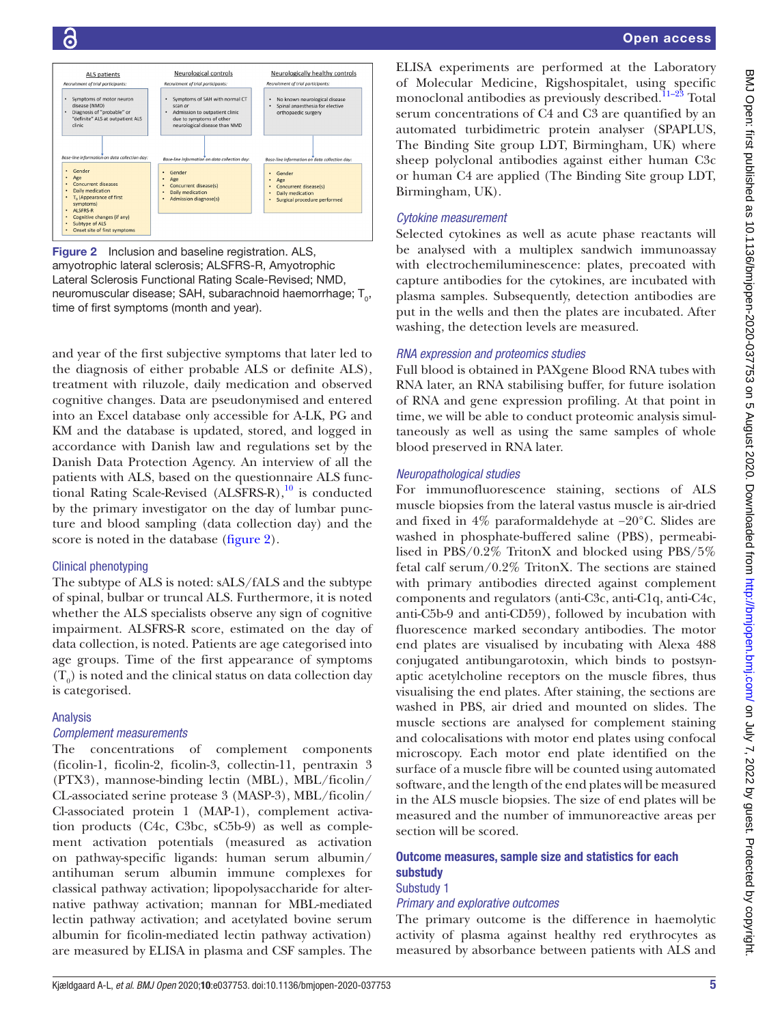dini

**ALS** patients ent of trial participants

Symptoms of motor neuror<br>disease (NMD)

• Gender<br>• Age<br>• Concurrent diseases<br>• Daily medication<br>• T<sub>sy</sub> (Appearance of first<br>• Symptoms)

<span id="page-4-0"></span>pressi symptom Cognitive changes (if any) Subtype of ALS Onset site of first symptom

disease (WWD)<br>Diagnosis of "probable" or<br>"definite" ALS at outpatient ALS

Gender

Age





the diagnosis of either probable ALS or definite ALS), treatment with riluzole, daily medication and observed cognitive changes. Data are pseudonymised and entered into an Excel database only accessible for A-LK, PG and KM and the database is updated, stored, and logged in accordance with Danish law and regulations set by the Danish Data Protection Agency. An interview of all the patients with ALS, based on the questionnaire ALS functional Rating Scale-Revised  $(ALSFRS-R),$ <sup>10</sup> is conducted by the primary investigator on the day of lumbar puncture and blood sampling (data collection day) and the score is noted in the database ([figure](#page-4-0) 2).

# Clinical phenotyping

The subtype of ALS is noted: sALS/fALS and the subtype of spinal, bulbar or truncal ALS. Furthermore, it is noted whether the ALS specialists observe any sign of cognitive impairment. ALSFRS-R score, estimated on the day of data collection, is noted. Patients are age categorised into age groups. Time of the first appearance of symptoms  $(T_0)$  is noted and the clinical status on data collection day is categorised.

# Analysis

#### *Complement measurements*

The concentrations of complement components (ficolin-1, ficolin-2, ficolin-3, collectin-11, pentraxin 3 (PTX3), mannose-binding lectin (MBL), MBL/ficolin/ CL-associated serine protease 3 (MASP-3), MBL/ficolin/ Cl-associated protein 1 (MAP-1), complement activation products (C4c, C3bc, sC5b-9) as well as complement activation potentials (measured as activation on pathway-specific ligands: human serum albumin/ antihuman serum albumin immune complexes for classical pathway activation; lipopolysaccharide for alternative pathway activation; mannan for MBL-mediated lectin pathway activation; and acetylated bovine serum albumin for ficolin-mediated lectin pathway activation) are measured by ELISA in plasma and CSF samples. The

ELISA experiments are performed at the Laboratory of Molecular Medicine, Rigshospitalet, using specific monoclonal antibodies as previously described.<sup>11-23</sup> Total serum concentrations of C4 and C3 are quantified by an automated turbidimetric protein analyser (SPAPLUS, The Binding Site group LDT, Birmingham, UK) where sheep polyclonal antibodies against either human C3c or human C4 are applied (The Binding Site group LDT,

Selected cytokines as well as acute phase reactants will be analysed with a multiplex sandwich immunoassay with electrochemiluminescence: plates, precoated with capture antibodies for the cytokines, are incubated with plasma samples. Subsequently, detection antibodies are put in the wells and then the plates are incubated. After washing, the detection levels are measured.

#### *RNA expression and proteomics studies*

Full blood is obtained in PAXgene Blood RNA tubes with RNA later, an RNA stabilising buffer, for future isolation of RNA and gene expression profiling. At that point in time, we will be able to conduct proteomic analysis simultaneously as well as using the same samples of whole blood preserved in RNA later.

# *Neuropathological studies*

For immunofluorescence staining, sections of ALS muscle biopsies from the lateral vastus muscle is air-dried and fixed in 4% paraformaldehyde at −20°C. Slides are washed in phosphate-buffered saline (PBS), permeabilised in PBS/0.2% TritonX and blocked using PBS/5% fetal calf serum/0.2% TritonX. The sections are stained with primary antibodies directed against complement components and regulators (anti-C3c, anti-C1q, anti-C4c, anti-C5b-9 and anti-CD59), followed by incubation with fluorescence marked secondary antibodies. The motor end plates are visualised by incubating with Alexa 488 conjugated antibungarotoxin, which binds to postsynaptic acetylcholine receptors on the muscle fibres, thus visualising the end plates. After staining, the sections are washed in PBS, air dried and mounted on slides. The muscle sections are analysed for complement staining and colocalisations with motor end plates using confocal microscopy. Each motor end plate identified on the surface of a muscle fibre will be counted using automated software, and the length of the end plates will be measured in the ALS muscle biopsies. The size of end plates will be measured and the number of immunoreactive areas per section will be scored.

# Outcome measures, sample size and statistics for each substudy

#### Substudy 1 *Primary and explorative outcomes*

The primary outcome is the difference in haemolytic activity of plasma against healthy red erythrocytes as measured by absorbance between patients with ALS and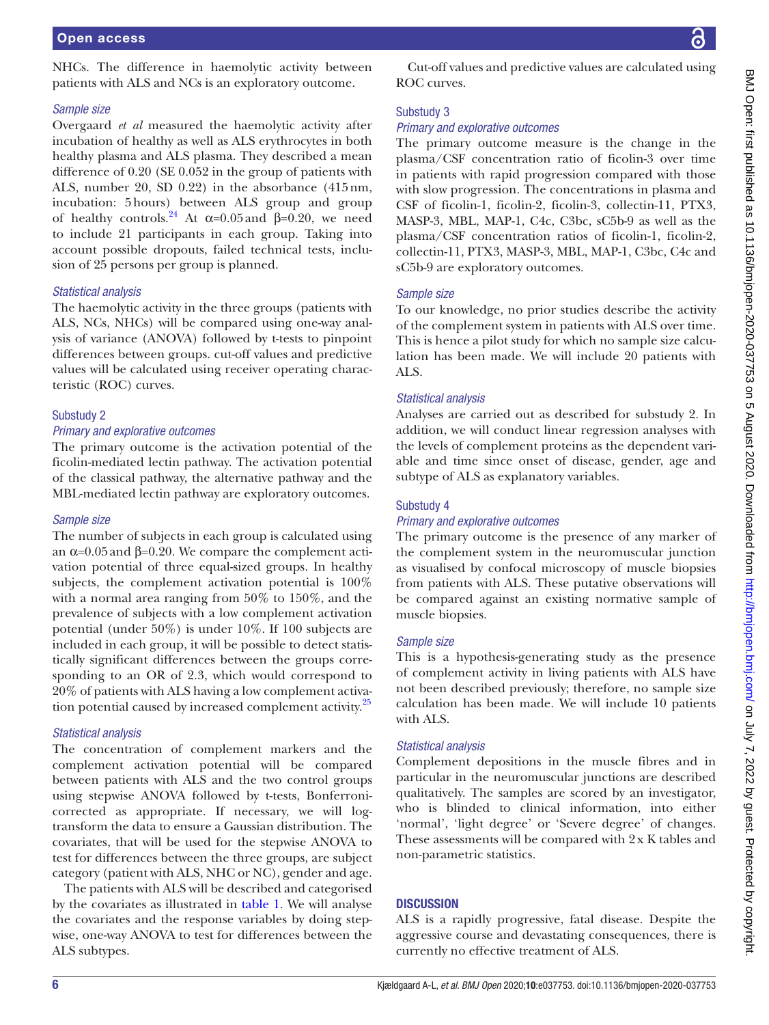NHCs. The difference in haemolytic activity between patients with ALS and NCs is an exploratory outcome.

#### *Sample size*

Overgaard *et al* measured the haemolytic activity after incubation of healthy as well as ALS erythrocytes in both healthy plasma and ALS plasma. They described a mean difference of 0.20 (SE 0.052 in the group of patients with ALS, number 20, SD 0.22) in the absorbance (415nm, incubation: 5hours) between ALS group and group of healthy controls.<sup>24</sup> At  $\alpha$ =0.05 and β=0.20, we need to include 21 participants in each group. Taking into account possible dropouts, failed technical tests, inclusion of 25 persons per group is planned.

#### *Statistical analysis*

The haemolytic activity in the three groups (patients with ALS, NCs, NHCs) will be compared using one-way analysis of variance (ANOVA) followed by t-tests to pinpoint differences between groups. cut-off values and predictive values will be calculated using receiver operating characteristic (ROC) curves.

#### Substudy 2

#### *Primary and explorative outcomes*

The primary outcome is the activation potential of the ficolin-mediated lectin pathway. The activation potential of the classical pathway, the alternative pathway and the MBL-mediated lectin pathway are exploratory outcomes.

#### *Sample size*

The number of subjects in each group is calculated using an α=0.05 and β=0.20. We compare the complement activation potential of three equal-sized groups. In healthy subjects, the complement activation potential is 100% with a normal area ranging from 50% to 150%, and the prevalence of subjects with a low complement activation potential (under 50%) is under 10%. If 100 subjects are included in each group, it will be possible to detect statistically significant differences between the groups corresponding to an OR of 2.3, which would correspond to 20% of patients with ALS having a low complement activa-tion potential caused by increased complement activity.<sup>[25](#page-7-10)</sup>

#### *Statistical analysis*

The concentration of complement markers and the complement activation potential will be compared between patients with ALS and the two control groups using stepwise ANOVA followed by t-tests, Bonferronicorrected as appropriate. If necessary, we will logtransform the data to ensure a Gaussian distribution. The covariates, that will be used for the stepwise ANOVA to test for differences between the three groups, are subject category (patient with ALS, NHC or NC), gender and age.

The patients with ALS will be described and categorised by the covariates as illustrated in [table](#page-2-0) 1. We will analyse the covariates and the response variables by doing stepwise, one-way ANOVA to test for differences between the ALS subtypes.

Cut-off values and predictive values are calculated using ROC curves.

#### Substudy 3

#### *Primary and explorative outcomes*

The primary outcome measure is the change in the plasma/CSF concentration ratio of ficolin-3 over time in patients with rapid progression compared with those with slow progression. The concentrations in plasma and CSF of ficolin-1, ficolin-2, ficolin-3, collectin-11, PTX3, MASP-3, MBL, MAP-1, C4c, C3bc, sC5b-9 as well as the plasma/CSF concentration ratios of ficolin-1, ficolin-2, collectin-11, PTX3, MASP-3, MBL, MAP-1, C3bc, C4c and sC5b-9 are exploratory outcomes.

#### *Sample size*

To our knowledge, no prior studies describe the activity of the complement system in patients with ALS over time. This is hence a pilot study for which no sample size calculation has been made. We will include 20 patients with ALS.

# *Statistical analysis*

Analyses are carried out as described for substudy 2. In addition, we will conduct linear regression analyses with the levels of complement proteins as the dependent variable and time since onset of disease, gender, age and subtype of ALS as explanatory variables.

#### Substudy 4

# *Primary and explorative outcomes*

The primary outcome is the presence of any marker of the complement system in the neuromuscular junction as visualised by confocal microscopy of muscle biopsies from patients with ALS. These putative observations will be compared against an existing normative sample of muscle biopsies.

# *Sample size*

This is a hypothesis-generating study as the presence of complement activity in living patients with ALS have not been described previously; therefore, no sample size calculation has been made. We will include 10 patients with ALS.

# *Statistical analysis*

Complement depositions in the muscle fibres and in particular in the neuromuscular junctions are described qualitatively. The samples are scored by an investigator, who is blinded to clinical information, into either 'normal', 'light degree' or 'Severe degree' of changes. These assessments will be compared with 2x K tables and non-parametric statistics.

# **DISCUSSION**

ALS is a rapidly progressive, fatal disease. Despite the aggressive course and devastating consequences, there is currently no effective treatment of ALS.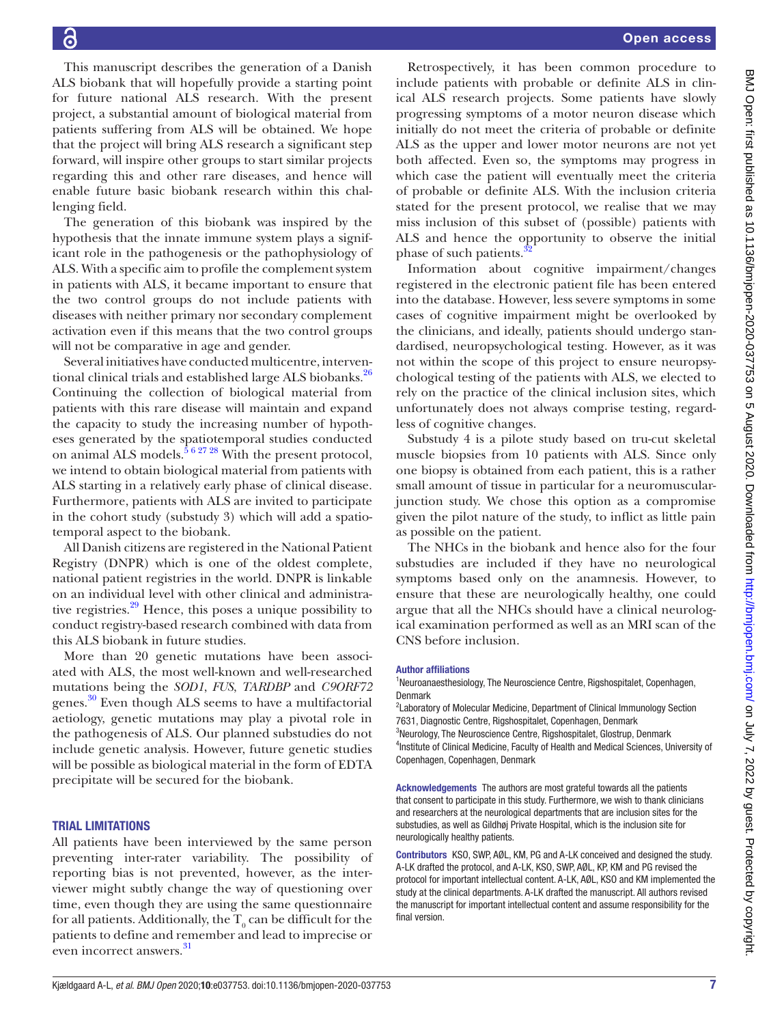This manuscript describes the generation of a Danish ALS biobank that will hopefully provide a starting point for future national ALS research. With the present project, a substantial amount of biological material from patients suffering from ALS will be obtained. We hope that the project will bring ALS research a significant step forward, will inspire other groups to start similar projects regarding this and other rare diseases, and hence will enable future basic biobank research within this challenging field.

The generation of this biobank was inspired by the hypothesis that the innate immune system plays a significant role in the pathogenesis or the pathophysiology of ALS. With a specific aim to profile the complement system in patients with ALS, it became important to ensure that the two control groups do not include patients with diseases with neither primary nor secondary complement activation even if this means that the two control groups will not be comparative in age and gender.

Several initiatives have conducted multicentre, interventional clinical trials and established large ALS biobanks.<sup>26</sup> Continuing the collection of biological material from patients with this rare disease will maintain and expand the capacity to study the increasing number of hypotheses generated by the spatiotemporal studies conducted on animal ALS models.<sup>[5 6 27 28](#page-7-4)</sup> With the present protocol, we intend to obtain biological material from patients with ALS starting in a relatively early phase of clinical disease. Furthermore, patients with ALS are invited to participate in the cohort study (substudy 3) which will add a spatiotemporal aspect to the biobank.

All Danish citizens are registered in the National Patient Registry (DNPR) which is one of the oldest complete, national patient registries in the world. DNPR is linkable on an individual level with other clinical and administrative registries.<sup>29</sup> Hence, this poses a unique possibility to conduct registry-based research combined with data from this ALS biobank in future studies.

More than 20 genetic mutations have been associated with ALS, the most well-known and well-researched mutations being the *SOD1*, *FUS*, *TARDBP* and *C9ORF72* genes.<sup>30</sup> Even though ALS seems to have a multifactorial aetiology, genetic mutations may play a pivotal role in the pathogenesis of ALS. Our planned substudies do not include genetic analysis. However, future genetic studies will be possible as biological material in the form of EDTA precipitate will be secured for the biobank.

#### TRIAL LIMITATIONS

All patients have been interviewed by the same person preventing inter-rater variability. The possibility of reporting bias is not prevented, however, as the interviewer might subtly change the way of questioning over time, even though they are using the same questionnaire for all patients. Additionally, the  $\mathrm{T}_0$  can be difficult for the patients to define and remember and lead to imprecise or even incorrect answers.<sup>[31](#page-7-14)</sup>

Retrospectively, it has been common procedure to include patients with probable or definite ALS in clinical ALS research projects. Some patients have slowly progressing symptoms of a motor neuron disease which initially do not meet the criteria of probable or definite ALS as the upper and lower motor neurons are not yet both affected. Even so, the symptoms may progress in which case the patient will eventually meet the criteria of probable or definite ALS. With the inclusion criteria stated for the present protocol, we realise that we may miss inclusion of this subset of (possible) patients with ALS and hence the opportunity to observe the initial phase of such patients.<sup>3</sup>

Information about cognitive impairment/changes registered in the electronic patient file has been entered into the database. However, less severe symptoms in some cases of cognitive impairment might be overlooked by the clinicians, and ideally, patients should undergo standardised, neuropsychological testing. However, as it was not within the scope of this project to ensure neuropsychological testing of the patients with ALS, we elected to rely on the practice of the clinical inclusion sites, which unfortunately does not always comprise testing, regardless of cognitive changes.

Substudy 4 is a pilote study based on tru-cut skeletal muscle biopsies from 10 patients with ALS. Since only one biopsy is obtained from each patient, this is a rather small amount of tissue in particular for a neuromuscularjunction study. We chose this option as a compromise given the pilot nature of the study, to inflict as little pain as possible on the patient.

The NHCs in the biobank and hence also for the four substudies are included if they have no neurological symptoms based only on the anamnesis. However, to ensure that these are neurologically healthy, one could argue that all the NHCs should have a clinical neurological examination performed as well as an MRI scan of the CNS before inclusion.

#### Author affiliations

<sup>1</sup>Neuroanaesthesiology, The Neuroscience Centre, Rigshospitalet, Copenhagen, Denmark

<sup>2</sup> Laboratory of Molecular Medicine, Department of Clinical Immunology Section 7631, Diagnostic Centre, Rigshospitalet, Copenhagen, Denmark <sup>3</sup>Neurology, The Neuroscience Centre, Rigshospitalet, Glostrup, Denmark <sup>4</sup>Institute of Clinical Medicine, Faculty of Health and Medical Sciences, University of Copenhagen, Copenhagen, Denmark

Acknowledgements The authors are most grateful towards all the patients that consent to participate in this study. Furthermore, we wish to thank clinicians and researchers at the neurological departments that are inclusion sites for the substudies, as well as Gildhøj Private Hospital, which is the inclusion site for neurologically healthy patients.

Contributors KSO, SWP, AØL, KM, PG and A-LK conceived and designed the study. A-LK drafted the protocol, and A-LK, KSO, SWP, AØL, KP, KM and PG revised the protocol for important intellectual content. A-LK, AØL, KSO and KM implemented the study at the clinical departments. A-LK drafted the manuscript. All authors revised the manuscript for important intellectual content and assume responsibility for the final version.